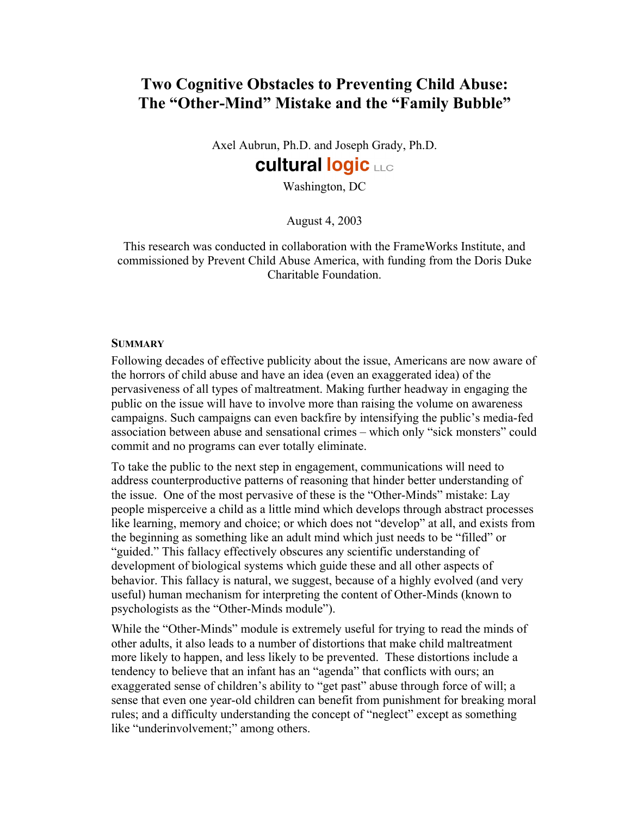## Two Cognitive Obstacles to Preventing Child Abuse: The "Other-Mind" Mistake and the "Family Bubble"

Axel Aubrun, Ph.D. and Joseph Grady, Ph.D. **cultural logic LLC** 

# Washington, DC

August 4, 2003

This research was conducted in collaboration with the FrameWorks Institute, and commissioned by Prevent Child Abuse America, with funding from the Doris Duke Charitable Foundation.

#### **SUMMARY**

Following decades of effective publicity about the issue, Americans are now aware of the horrors of child abuse and have an idea (even an exaggerated idea) of the pervasiveness of all types of maltreatment. Making further headway in engaging the public on the issue will have to involve more than raising the volume on awareness campaigns. Such campaigns can even backfire by intensifying the public's media-fed association between abuse and sensational crimes – which only "sick monsters" could commit and no programs can ever totally eliminate.

To take the public to the next step in engagement, communications will need to address counterproductive patterns of reasoning that hinder better understanding of the issue. One of the most pervasive of these is the "Other-Minds" mistake: Lay people misperceive a child as a little mind which develops through abstract processes like learning, memory and choice; or which does not "develop" at all, and exists from the beginning as something like an adult mind which just needs to be "filled" or "guided." This fallacy effectively obscures any scientific understanding of development of biological systems which guide these and all other aspects of behavior. This fallacy is natural, we suggest, because of a highly evolved (and very useful) human mechanism for interpreting the content of Other-Minds (known to psychologists as the "Other-Minds module").

While the "Other-Minds" module is extremely useful for trying to read the minds of other adults, it also leads to a number of distortions that make child maltreatment more likely to happen, and less likely to be prevented. These distortions include a tendency to believe that an infant has an "agenda" that conflicts with ours; an exaggerated sense of children's ability to "get past" abuse through force of will; a sense that even one year-old children can benefit from punishment for breaking moral rules; and a difficulty understanding the concept of "neglect" except as something like "underinvolvement;" among others.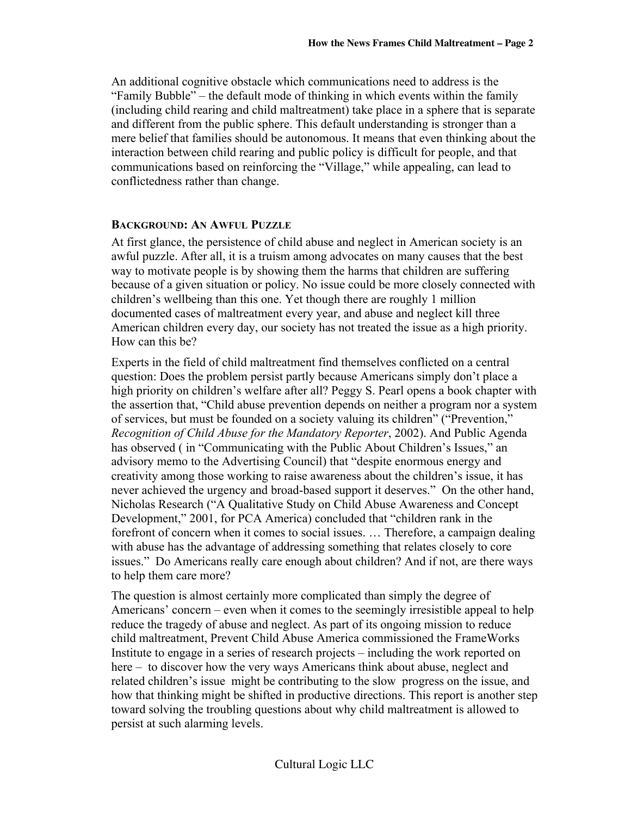An additional cognitive obstacle which communications need to address is the "Family Bubble" – the default mode of thinking in which events within the family (including child rearing and child maltreatment) take place in a sphere that is separate and different from the public sphere. This default understanding is stronger than a mere belief that families should be autonomous. It means that even thinking about the interaction between child rearing and public policy is difficult for people, and that communications based on reinforcing the "Village," while appealing, can lead to conflictedness rather than change.

#### BACKGROUND: AN AWFUL PUZZLE

At first glance, the persistence of child abuse and neglect in American society is an awful puzzle. After all, it is a truism among advocates on many causes that the best way to motivate people is by showing them the harms that children are suffering because of a given situation or policy. No issue could be more closely connected with children's wellbeing than this one. Yet though there are roughly 1 million documented cases of maltreatment every year, and abuse and neglect kill three American children every day, our society has not treated the issue as a high priority. How can this be?

Experts in the field of child maltreatment find themselves conflicted on a central question: Does the problem persist partly because Americans simply don't place a high priority on children's welfare after all? Peggy S. Pearl opens a book chapter with the assertion that, "Child abuse prevention depends on neither a program nor a system of services, but must be founded on a society valuing its children" ("Prevention," *Recognition of Child Abuse for the Mandatory Reporter*, 2002). And Public Agenda has observed ( in "Communicating with the Public About Children's Issues," an advisory memo to the Advertising Council) that "despite enormous energy and creativity among those working to raise awareness about the children's issue, it has never achieved the urgency and broad-based support it deserves." On the other hand, Nicholas Research ("A Qualitative Study on Child Abuse Awareness and Concept Development," 2001, for PCA America) concluded that "children rank in the forefront of concern when it comes to social issues. … Therefore, a campaign dealing with abuse has the advantage of addressing something that relates closely to core issues." Do Americans really care enough about children? And if not, are there ways to help them care more?

The question is almost certainly more complicated than simply the degree of Americans' concern – even when it comes to the seemingly irresistible appeal to help reduce the tragedy of abuse and neglect. As part of its ongoing mission to reduce child maltreatment, Prevent Child Abuse America commissioned the FrameWorks Institute to engage in a series of research projects – including the work reported on here – to discover how the very ways Americans think about abuse, neglect and related children's issue might be contributing to the slow progress on the issue, and how that thinking might be shifted in productive directions. This report is another step toward solving the troubling questions about why child maltreatment is allowed to persist at such alarming levels.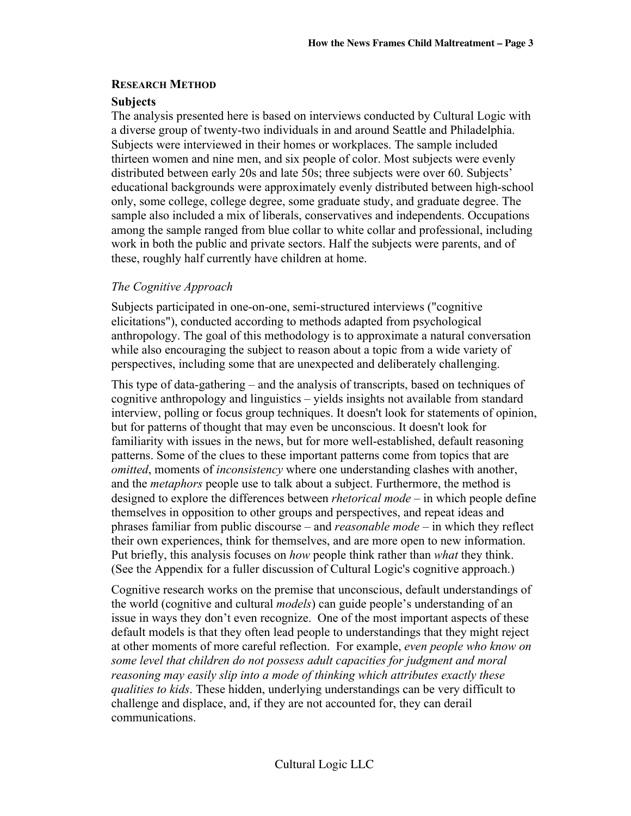#### RESEARCH METHOD

#### **Subjects**

The analysis presented here is based on interviews conducted by Cultural Logic with a diverse group of twenty-two individuals in and around Seattle and Philadelphia. Subjects were interviewed in their homes or workplaces. The sample included thirteen women and nine men, and six people of color. Most subjects were evenly distributed between early 20s and late 50s; three subjects were over 60. Subjects' educational backgrounds were approximately evenly distributed between high-school only, some college, college degree, some graduate study, and graduate degree. The sample also included a mix of liberals, conservatives and independents. Occupations among the sample ranged from blue collar to white collar and professional, including work in both the public and private sectors. Half the subjects were parents, and of these, roughly half currently have children at home.

#### *The Cognitive Approach*

Subjects participated in one-on-one, semi-structured interviews ("cognitive elicitations"), conducted according to methods adapted from psychological anthropology. The goal of this methodology is to approximate a natural conversation while also encouraging the subject to reason about a topic from a wide variety of perspectives, including some that are unexpected and deliberately challenging.

This type of data-gathering – and the analysis of transcripts, based on techniques of cognitive anthropology and linguistics – yields insights not available from standard interview, polling or focus group techniques. It doesn't look for statements of opinion, but for patterns of thought that may even be unconscious. It doesn't look for familiarity with issues in the news, but for more well-established, default reasoning patterns. Some of the clues to these important patterns come from topics that are *omitted*, moments of *inconsistency* where one understanding clashes with another, and the *metaphors* people use to talk about a subject. Furthermore, the method is designed to explore the differences between *rhetorical mode* – in which people define themselves in opposition to other groups and perspectives, and repeat ideas and phrases familiar from public discourse – and *reasonable mode* – in which they reflect their own experiences, think for themselves, and are more open to new information. Put briefly, this analysis focuses on *how* people think rather than *what* they think. (See the Appendix for a fuller discussion of Cultural Logic's cognitive approach.)

Cognitive research works on the premise that unconscious, default understandings of the world (cognitive and cultural *models*) can guide people's understanding of an issue in ways they don't even recognize. One of the most important aspects of these default models is that they often lead people to understandings that they might reject at other moments of more careful reflection. For example, *even people who know on some level that children do not possess adult capacities for judgment and moral reasoning may easily slip into a mode of thinking which attributes exactly these qualities to kids*. These hidden, underlying understandings can be very difficult to challenge and displace, and, if they are not accounted for, they can derail communications.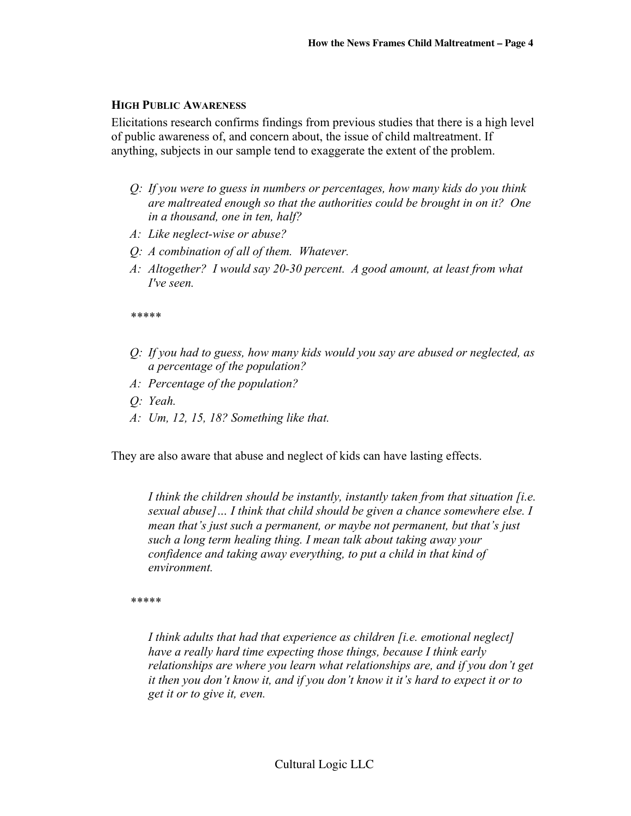#### HIGH PUBLIC AWARENESS

Elicitations research confirms findings from previous studies that there is a high level of public awareness of, and concern about, the issue of child maltreatment. If anything, subjects in our sample tend to exaggerate the extent of the problem.

- *Q: If you were to guess in numbers or percentages, how many kids do you think are maltreated enough so that the authorities could be brought in on it? One in a thousand, one in ten, half?*
- *A: Like neglect-wise or abuse?*
- *Q: A combination of all of them. Whatever.*
- *A: Altogether? I would say 20-30 percent. A good amount, at least from what I've seen.*

*\*\*\*\*\**

- *Q: If you had to guess, how many kids would you say are abused or neglected, as a percentage of the population?*
- *A: Percentage of the population?*
- *Q: Yeah.*
- *A: Um, 12, 15, 18? Something like that.*

They are also aware that abuse and neglect of kids can have lasting effects.

*I think the children should be instantly, instantly taken from that situation [i.e. sexual abuse]… I think that child should be given a chance somewhere else. I mean that's just such a permanent, or maybe not permanent, but that's just such a long term healing thing. I mean talk about taking away your confidence and taking away everything, to put a child in that kind of environment.*

*\*\*\*\*\**

*I think adults that had that experience as children [i.e. emotional neglect] have a really hard time expecting those things, because I think early relationships are where you learn what relationships are, and if you don't get it then you don't know it, and if you don't know it it's hard to expect it or to get it or to give it, even.*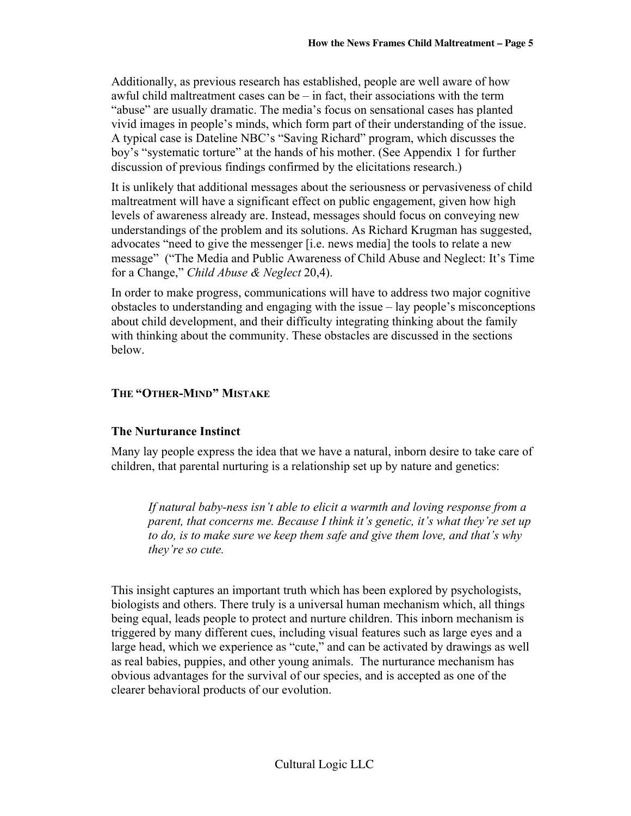Additionally, as previous research has established, people are well aware of how awful child maltreatment cases can be – in fact, their associations with the term "abuse" are usually dramatic. The media's focus on sensational cases has planted vivid images in people's minds, which form part of their understanding of the issue. A typical case is Dateline NBC's "Saving Richard" program, which discusses the boy's "systematic torture" at the hands of his mother. (See Appendix 1 for further discussion of previous findings confirmed by the elicitations research.)

It is unlikely that additional messages about the seriousness or pervasiveness of child maltreatment will have a significant effect on public engagement, given how high levels of awareness already are. Instead, messages should focus on conveying new understandings of the problem and its solutions. As Richard Krugman has suggested, advocates "need to give the messenger [i.e. news media] the tools to relate a new message" ("The Media and Public Awareness of Child Abuse and Neglect: It's Time for a Change," *Child Abuse & Neglect* 20,4).

In order to make progress, communications will have to address two major cognitive obstacles to understanding and engaging with the issue – lay people's misconceptions about child development, and their difficulty integrating thinking about the family with thinking about the community. These obstacles are discussed in the sections below.

## THE "OTHER-MIND" MISTAKE

## The Nurturance Instinct

Many lay people express the idea that we have a natural, inborn desire to take care of children, that parental nurturing is a relationship set up by nature and genetics:

*If natural baby-ness isn't able to elicit a warmth and loving response from a parent, that concerns me. Because I think it's genetic, it's what they're set up to do, is to make sure we keep them safe and give them love, and that's why they're so cute.*

This insight captures an important truth which has been explored by psychologists, biologists and others. There truly is a universal human mechanism which, all things being equal, leads people to protect and nurture children. This inborn mechanism is triggered by many different cues, including visual features such as large eyes and a large head, which we experience as "cute," and can be activated by drawings as well as real babies, puppies, and other young animals. The nurturance mechanism has obvious advantages for the survival of our species, and is accepted as one of the clearer behavioral products of our evolution.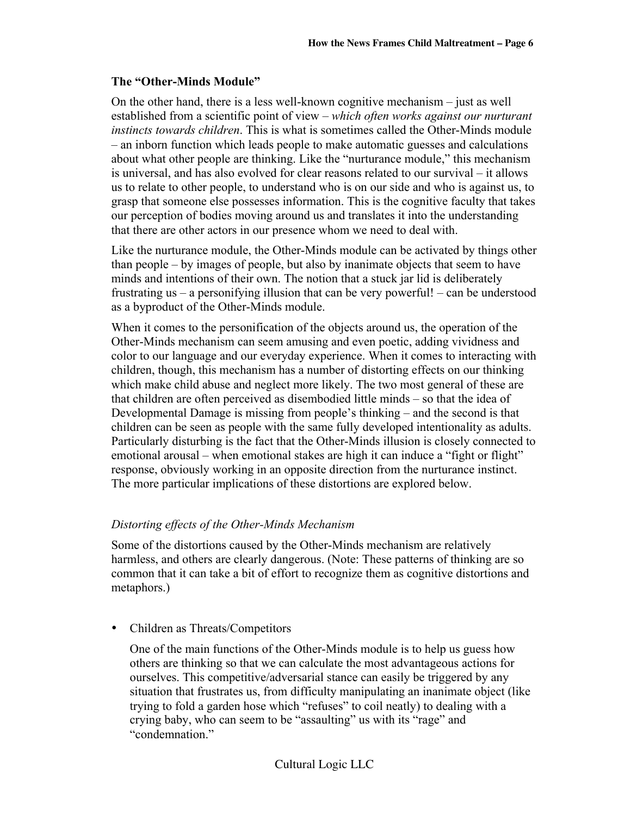#### The "Other-Minds Module"

On the other hand, there is a less well-known cognitive mechanism – just as well established from a scientific point of view – *which often works against our nurturant instincts towards children*. This is what is sometimes called the Other-Minds module – an inborn function which leads people to make automatic guesses and calculations about what other people are thinking. Like the "nurturance module," this mechanism is universal, and has also evolved for clear reasons related to our survival – it allows us to relate to other people, to understand who is on our side and who is against us, to grasp that someone else possesses information. This is the cognitive faculty that takes our perception of bodies moving around us and translates it into the understanding that there are other actors in our presence whom we need to deal with.

Like the nurturance module, the Other-Minds module can be activated by things other than people – by images of people, but also by inanimate objects that seem to have minds and intentions of their own. The notion that a stuck jar lid is deliberately frustrating us – a personifying illusion that can be very powerful! – can be understood as a byproduct of the Other-Minds module.

When it comes to the personification of the objects around us, the operation of the Other-Minds mechanism can seem amusing and even poetic, adding vividness and color to our language and our everyday experience. When it comes to interacting with children, though, this mechanism has a number of distorting effects on our thinking which make child abuse and neglect more likely. The two most general of these are that children are often perceived as disembodied little minds – so that the idea of Developmental Damage is missing from people's thinking – and the second is that children can be seen as people with the same fully developed intentionality as adults. Particularly disturbing is the fact that the Other-Minds illusion is closely connected to emotional arousal – when emotional stakes are high it can induce a "fight or flight" response, obviously working in an opposite direction from the nurturance instinct. The more particular implications of these distortions are explored below.

#### *Distorting effects of the Other-Minds Mechanism*

Some of the distortions caused by the Other-Minds mechanism are relatively harmless, and others are clearly dangerous. (Note: These patterns of thinking are so common that it can take a bit of effort to recognize them as cognitive distortions and metaphors.)

• Children as Threats/Competitors

One of the main functions of the Other-Minds module is to help us guess how others are thinking so that we can calculate the most advantageous actions for ourselves. This competitive/adversarial stance can easily be triggered by any situation that frustrates us, from difficulty manipulating an inanimate object (like trying to fold a garden hose which "refuses" to coil neatly) to dealing with a crying baby, who can seem to be "assaulting" us with its "rage" and "condemnation."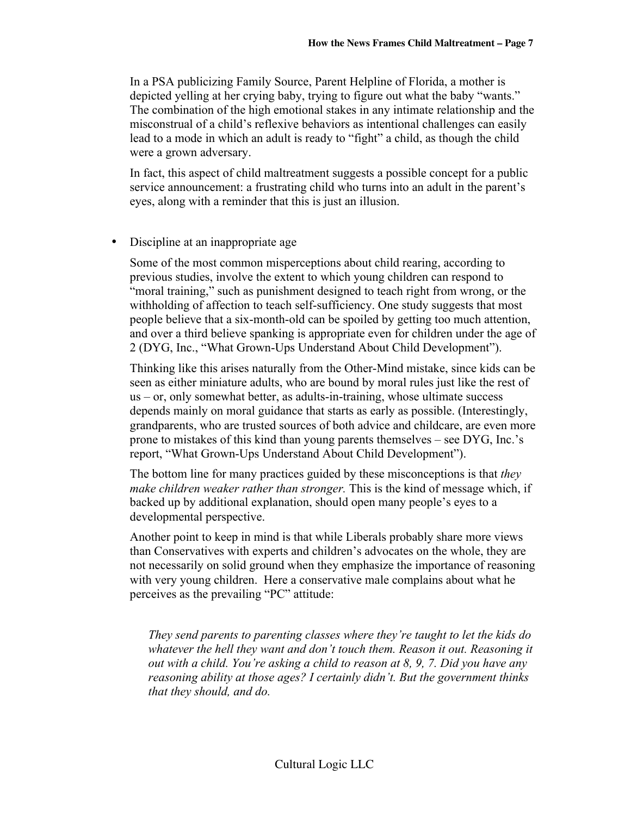In a PSA publicizing Family Source, Parent Helpline of Florida, a mother is depicted yelling at her crying baby, trying to figure out what the baby "wants." The combination of the high emotional stakes in any intimate relationship and the misconstrual of a child's reflexive behaviors as intentional challenges can easily lead to a mode in which an adult is ready to "fight" a child, as though the child were a grown adversary.

In fact, this aspect of child maltreatment suggests a possible concept for a public service announcement: a frustrating child who turns into an adult in the parent's eyes, along with a reminder that this is just an illusion.

• Discipline at an inappropriate age

Some of the most common misperceptions about child rearing, according to previous studies, involve the extent to which young children can respond to "moral training," such as punishment designed to teach right from wrong, or the withholding of affection to teach self-sufficiency. One study suggests that most people believe that a six-month-old can be spoiled by getting too much attention, and over a third believe spanking is appropriate even for children under the age of 2 (DYG, Inc., "What Grown-Ups Understand About Child Development").

Thinking like this arises naturally from the Other-Mind mistake, since kids can be seen as either miniature adults, who are bound by moral rules just like the rest of us – or, only somewhat better, as adults-in-training, whose ultimate success depends mainly on moral guidance that starts as early as possible. (Interestingly, grandparents, who are trusted sources of both advice and childcare, are even more prone to mistakes of this kind than young parents themselves – see DYG, Inc.'s report, "What Grown-Ups Understand About Child Development").

The bottom line for many practices guided by these misconceptions is that *they make children weaker rather than stronger.* This is the kind of message which, if backed up by additional explanation, should open many people's eyes to a developmental perspective.

Another point to keep in mind is that while Liberals probably share more views than Conservatives with experts and children's advocates on the whole, they are not necessarily on solid ground when they emphasize the importance of reasoning with very young children. Here a conservative male complains about what he perceives as the prevailing "PC" attitude:

*They send parents to parenting classes where they're taught to let the kids do whatever the hell they want and don't touch them. Reason it out. Reasoning it out with a child. You're asking a child to reason at 8, 9, 7. Did you have any reasoning ability at those ages? I certainly didn't. But the government thinks that they should, and do.*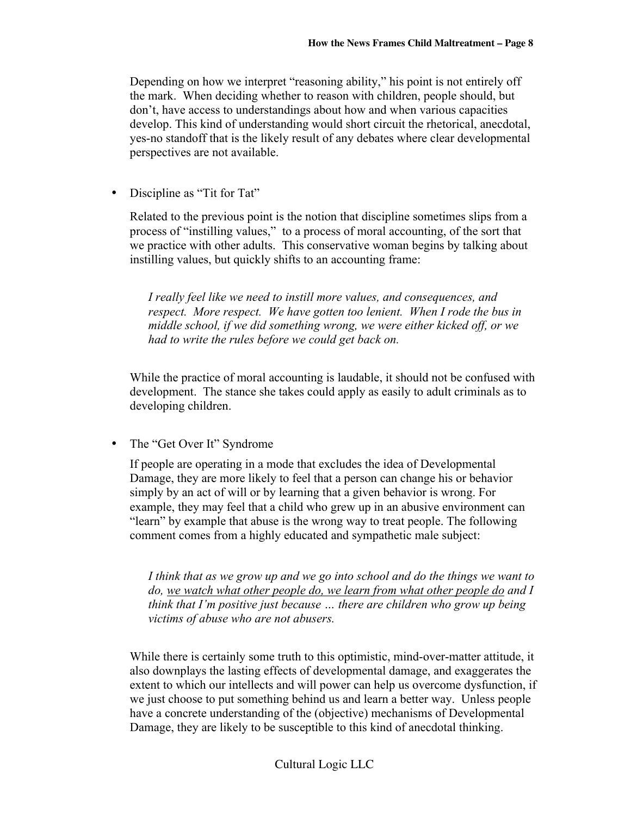Depending on how we interpret "reasoning ability," his point is not entirely off the mark. When deciding whether to reason with children, people should, but don't, have access to understandings about how and when various capacities develop. This kind of understanding would short circuit the rhetorical, anecdotal, yes-no standoff that is the likely result of any debates where clear developmental perspectives are not available.

• Discipline as "Tit for Tat"

Related to the previous point is the notion that discipline sometimes slips from a process of "instilling values," to a process of moral accounting, of the sort that we practice with other adults. This conservative woman begins by talking about instilling values, but quickly shifts to an accounting frame:

*I really feel like we need to instill more values, and consequences, and respect. More respect. We have gotten too lenient. When I rode the bus in middle school, if we did something wrong, we were either kicked off, or we had to write the rules before we could get back on.*

While the practice of moral accounting is laudable, it should not be confused with development. The stance she takes could apply as easily to adult criminals as to developing children.

• The "Get Over It" Syndrome

If people are operating in a mode that excludes the idea of Developmental Damage, they are more likely to feel that a person can change his or behavior simply by an act of will or by learning that a given behavior is wrong. For example, they may feel that a child who grew up in an abusive environment can "learn" by example that abuse is the wrong way to treat people. The following comment comes from a highly educated and sympathetic male subject:

*I think that as we grow up and we go into school and do the things we want to do, we watch what other people do, we learn from what other people do and I think that I'm positive just because … there are children who grow up being victims of abuse who are not abusers.*

While there is certainly some truth to this optimistic, mind-over-matter attitude, it also downplays the lasting effects of developmental damage, and exaggerates the extent to which our intellects and will power can help us overcome dysfunction, if we just choose to put something behind us and learn a better way. Unless people have a concrete understanding of the (objective) mechanisms of Developmental Damage, they are likely to be susceptible to this kind of anecdotal thinking.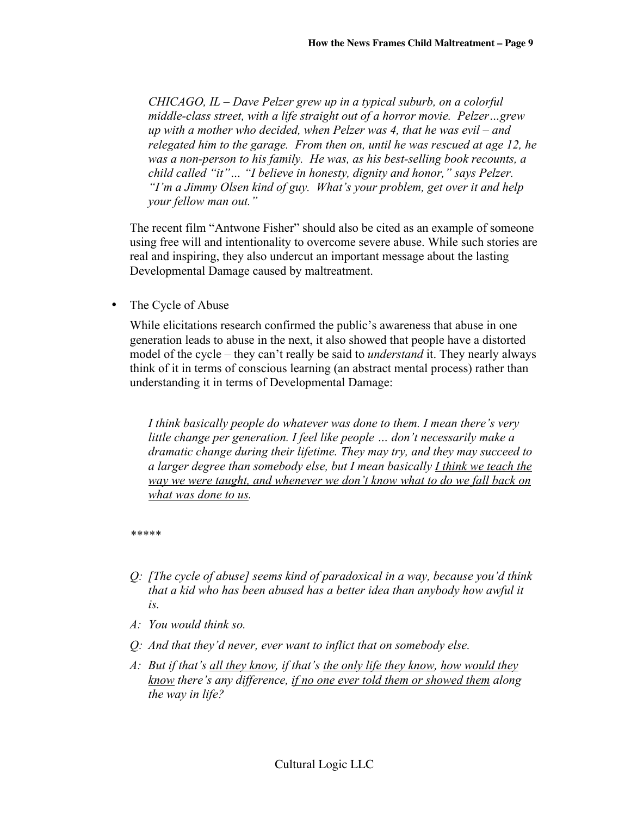*CHICAGO, IL – Dave Pelzer grew up in a typical suburb, on a colorful middle-class street, with a life straight out of a horror movie. Pelzer…grew up with a mother who decided, when Pelzer was 4, that he was evil – and relegated him to the garage. From then on, until he was rescued at age 12, he was a non-person to his family. He was, as his best-selling book recounts, a child called "it"… "I believe in honesty, dignity and honor," says Pelzer. "I'm a Jimmy Olsen kind of guy. What's your problem, get over it and help your fellow man out."*

The recent film "Antwone Fisher" should also be cited as an example of someone using free will and intentionality to overcome severe abuse. While such stories are real and inspiring, they also undercut an important message about the lasting Developmental Damage caused by maltreatment.

• The Cycle of Abuse

While elicitations research confirmed the public's awareness that abuse in one generation leads to abuse in the next, it also showed that people have a distorted model of the cycle – they can't really be said to *understand* it. They nearly always think of it in terms of conscious learning (an abstract mental process) rather than understanding it in terms of Developmental Damage:

*I think basically people do whatever was done to them. I mean there's very little change per generation. I feel like people … don't necessarily make a dramatic change during their lifetime. They may try, and they may succeed to a larger degree than somebody else, but I mean basically I think we teach the way we were taught, and whenever we don't know what to do we fall back on what was done to us.*

*\*\*\*\*\**

- *Q: [The cycle of abuse] seems kind of paradoxical in a way, because you'd think that a kid who has been abused has a better idea than anybody how awful it is.*
- *A: You would think so.*
- *Q: And that they'd never, ever want to inflict that on somebody else.*
- *A: But if that's all they know, if that's the only life they know, how would they know there's any difference, if no one ever told them or showed them along the way in life?*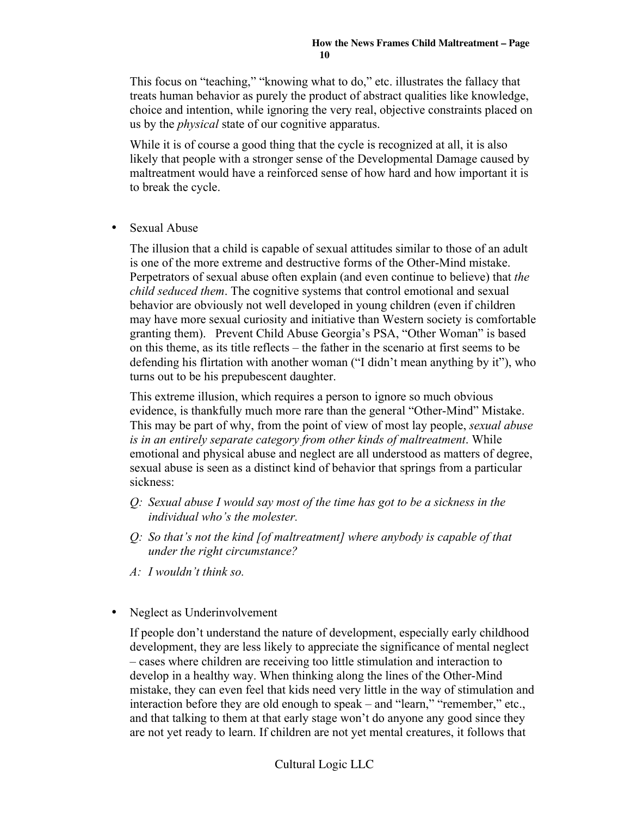This focus on "teaching," "knowing what to do," etc. illustrates the fallacy that treats human behavior as purely the product of abstract qualities like knowledge, choice and intention, while ignoring the very real, objective constraints placed on us by the *physical* state of our cognitive apparatus.

While it is of course a good thing that the cycle is recognized at all, it is also likely that people with a stronger sense of the Developmental Damage caused by maltreatment would have a reinforced sense of how hard and how important it is to break the cycle.

• Sexual Abuse

The illusion that a child is capable of sexual attitudes similar to those of an adult is one of the more extreme and destructive forms of the Other-Mind mistake. Perpetrators of sexual abuse often explain (and even continue to believe) that *the child seduced them*. The cognitive systems that control emotional and sexual behavior are obviously not well developed in young children (even if children may have more sexual curiosity and initiative than Western society is comfortable granting them). Prevent Child Abuse Georgia's PSA, "Other Woman" is based on this theme, as its title reflects – the father in the scenario at first seems to be defending his flirtation with another woman ("I didn't mean anything by it"), who turns out to be his prepubescent daughter.

This extreme illusion, which requires a person to ignore so much obvious evidence, is thankfully much more rare than the general "Other-Mind" Mistake. This may be part of why, from the point of view of most lay people, *sexual abuse is in an entirely separate category from other kinds of maltreatment*. While emotional and physical abuse and neglect are all understood as matters of degree, sexual abuse is seen as a distinct kind of behavior that springs from a particular sickness:

- *Q: Sexual abuse I would say most of the time has got to be a sickness in the individual who's the molester.*
- *Q: So that's not the kind [of maltreatment] where anybody is capable of that under the right circumstance?*
- *A: I wouldn't think so.*
- Neglect as Underinvolvement

If people don't understand the nature of development, especially early childhood development, they are less likely to appreciate the significance of mental neglect – cases where children are receiving too little stimulation and interaction to develop in a healthy way. When thinking along the lines of the Other-Mind mistake, they can even feel that kids need very little in the way of stimulation and interaction before they are old enough to speak – and "learn," "remember," etc., and that talking to them at that early stage won't do anyone any good since they are not yet ready to learn. If children are not yet mental creatures, it follows that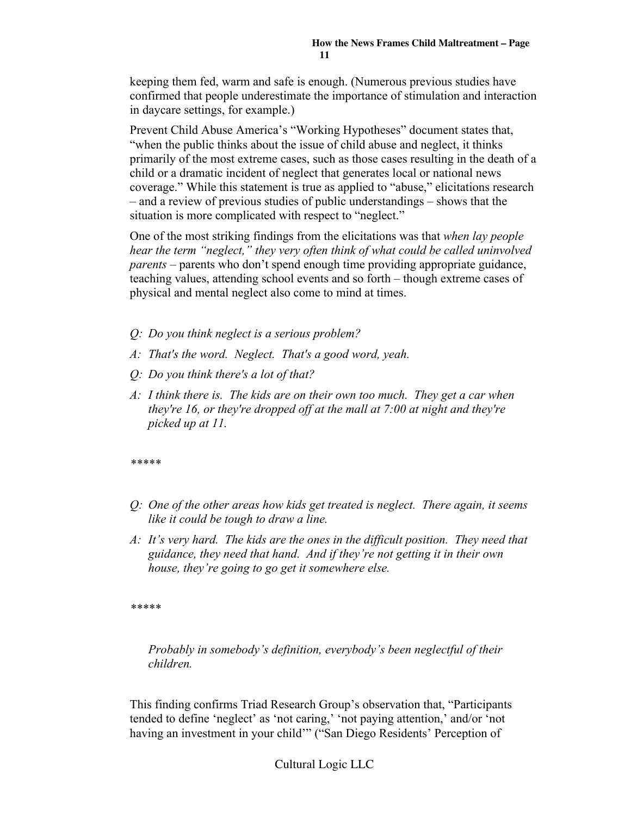keeping them fed, warm and safe is enough. (Numerous previous studies have confirmed that people underestimate the importance of stimulation and interaction in daycare settings, for example.)

Prevent Child Abuse America's "Working Hypotheses" document states that, "when the public thinks about the issue of child abuse and neglect, it thinks primarily of the most extreme cases, such as those cases resulting in the death of a child or a dramatic incident of neglect that generates local or national news coverage." While this statement is true as applied to "abuse," elicitations research – and a review of previous studies of public understandings – shows that the situation is more complicated with respect to "neglect."

One of the most striking findings from the elicitations was that *when lay people hear the term "neglect," they very often think of what could be called uninvolved parents* – parents who don't spend enough time providing appropriate guidance, teaching values, attending school events and so forth – though extreme cases of physical and mental neglect also come to mind at times.

- *Q: Do you think neglect is a serious problem?*
- *A: That's the word. Neglect. That's a good word, yeah.*
- *Q: Do you think there's a lot of that?*
- *A: I think there is. The kids are on their own too much. They get a car when they're 16, or they're dropped off at the mall at 7:00 at night and they're picked up at 11.*

*\*\*\*\*\**

- *Q: One of the other areas how kids get treated is neglect. There again, it seems like it could be tough to draw a line.*
- *A: It's very hard. The kids are the ones in the difficult position. They need that guidance, they need that hand. And if they're not getting it in their own house, they're going to go get it somewhere else.*

*\*\*\*\*\**

*Probably in somebody's definition, everybody's been neglectful of their children.*

This finding confirms Triad Research Group's observation that, "Participants tended to define 'neglect' as 'not caring,' 'not paying attention,' and/or 'not having an investment in your child'" ("San Diego Residents' Perception of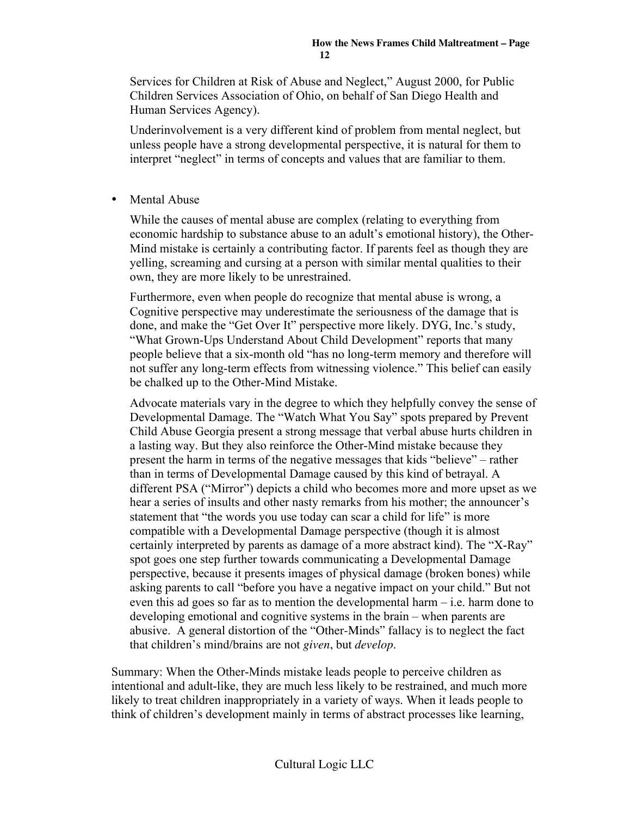Services for Children at Risk of Abuse and Neglect," August 2000, for Public Children Services Association of Ohio, on behalf of San Diego Health and Human Services Agency).

Underinvolvement is a very different kind of problem from mental neglect, but unless people have a strong developmental perspective, it is natural for them to interpret "neglect" in terms of concepts and values that are familiar to them.

• Mental Abuse

While the causes of mental abuse are complex (relating to everything from economic hardship to substance abuse to an adult's emotional history), the Other-Mind mistake is certainly a contributing factor. If parents feel as though they are yelling, screaming and cursing at a person with similar mental qualities to their own, they are more likely to be unrestrained.

Furthermore, even when people do recognize that mental abuse is wrong, a Cognitive perspective may underestimate the seriousness of the damage that is done, and make the "Get Over It" perspective more likely. DYG, Inc.'s study, "What Grown-Ups Understand About Child Development" reports that many people believe that a six-month old "has no long-term memory and therefore will not suffer any long-term effects from witnessing violence." This belief can easily be chalked up to the Other-Mind Mistake.

Advocate materials vary in the degree to which they helpfully convey the sense of Developmental Damage. The "Watch What You Say" spots prepared by Prevent Child Abuse Georgia present a strong message that verbal abuse hurts children in a lasting way. But they also reinforce the Other-Mind mistake because they present the harm in terms of the negative messages that kids "believe" – rather than in terms of Developmental Damage caused by this kind of betrayal. A different PSA ("Mirror") depicts a child who becomes more and more upset as we hear a series of insults and other nasty remarks from his mother; the announcer's statement that "the words you use today can scar a child for life" is more compatible with a Developmental Damage perspective (though it is almost certainly interpreted by parents as damage of a more abstract kind). The "X-Ray" spot goes one step further towards communicating a Developmental Damage perspective, because it presents images of physical damage (broken bones) while asking parents to call "before you have a negative impact on your child." But not even this ad goes so far as to mention the developmental harm – i.e. harm done to developing emotional and cognitive systems in the brain – when parents are abusive. A general distortion of the "Other-Minds" fallacy is to neglect the fact that children's mind/brains are not *given*, but *develop*.

Summary: When the Other-Minds mistake leads people to perceive children as intentional and adult-like, they are much less likely to be restrained, and much more likely to treat children inappropriately in a variety of ways. When it leads people to think of children's development mainly in terms of abstract processes like learning,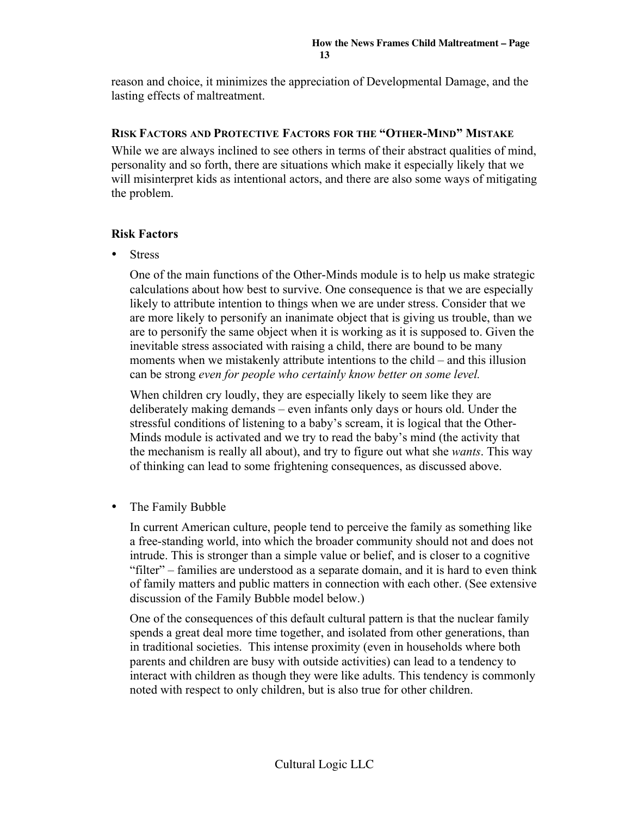reason and choice, it minimizes the appreciation of Developmental Damage, and the lasting effects of maltreatment.

#### RISK FACTORS AND PROTECTIVE FACTORS FOR THE "OTHER-MIND" MISTAKE

While we are always inclined to see others in terms of their abstract qualities of mind, personality and so forth, there are situations which make it especially likely that we will misinterpret kids as intentional actors, and there are also some ways of mitigating the problem.

#### Risk Factors

**Stress** 

One of the main functions of the Other-Minds module is to help us make strategic calculations about how best to survive. One consequence is that we are especially likely to attribute intention to things when we are under stress. Consider that we are more likely to personify an inanimate object that is giving us trouble, than we are to personify the same object when it is working as it is supposed to. Given the inevitable stress associated with raising a child, there are bound to be many moments when we mistakenly attribute intentions to the child – and this illusion can be strong *even for people who certainly know better on some level.*

When children cry loudly, they are especially likely to seem like they are deliberately making demands – even infants only days or hours old. Under the stressful conditions of listening to a baby's scream, it is logical that the Other-Minds module is activated and we try to read the baby's mind (the activity that the mechanism is really all about), and try to figure out what she *wants*. This way of thinking can lead to some frightening consequences, as discussed above.

• The Family Bubble

In current American culture, people tend to perceive the family as something like a free-standing world, into which the broader community should not and does not intrude. This is stronger than a simple value or belief, and is closer to a cognitive "filter" – families are understood as a separate domain, and it is hard to even think of family matters and public matters in connection with each other. (See extensive discussion of the Family Bubble model below.)

One of the consequences of this default cultural pattern is that the nuclear family spends a great deal more time together, and isolated from other generations, than in traditional societies. This intense proximity (even in households where both parents and children are busy with outside activities) can lead to a tendency to interact with children as though they were like adults. This tendency is commonly noted with respect to only children, but is also true for other children.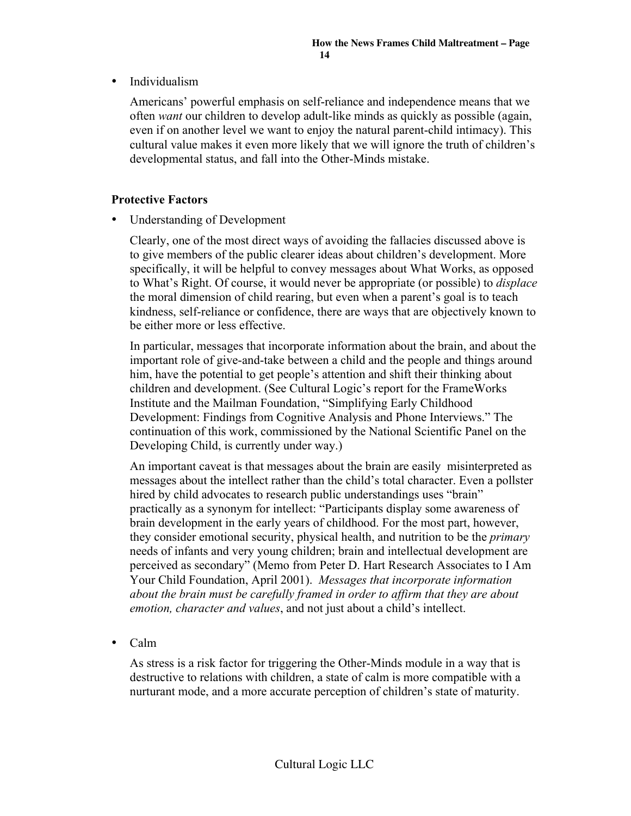• Individualism

Americans' powerful emphasis on self-reliance and independence means that we often *want* our children to develop adult-like minds as quickly as possible (again, even if on another level we want to enjoy the natural parent-child intimacy). This cultural value makes it even more likely that we will ignore the truth of children's developmental status, and fall into the Other-Minds mistake.

#### Protective Factors

• Understanding of Development

Clearly, one of the most direct ways of avoiding the fallacies discussed above is to give members of the public clearer ideas about children's development. More specifically, it will be helpful to convey messages about What Works, as opposed to What's Right. Of course, it would never be appropriate (or possible) to *displace* the moral dimension of child rearing, but even when a parent's goal is to teach kindness, self-reliance or confidence, there are ways that are objectively known to be either more or less effective.

In particular, messages that incorporate information about the brain, and about the important role of give-and-take between a child and the people and things around him, have the potential to get people's attention and shift their thinking about children and development. (See Cultural Logic's report for the FrameWorks Institute and the Mailman Foundation, "Simplifying Early Childhood Development: Findings from Cognitive Analysis and Phone Interviews." The continuation of this work, commissioned by the National Scientific Panel on the Developing Child, is currently under way.)

An important caveat is that messages about the brain are easily misinterpreted as messages about the intellect rather than the child's total character. Even a pollster hired by child advocates to research public understandings uses "brain" practically as a synonym for intellect: "Participants display some awareness of brain development in the early years of childhood. For the most part, however, they consider emotional security, physical health, and nutrition to be the *primary* needs of infants and very young children; brain and intellectual development are perceived as secondary" (Memo from Peter D. Hart Research Associates to I Am Your Child Foundation, April 2001). *Messages that incorporate information about the brain must be carefully framed in order to affirm that they are about emotion, character and values*, and not just about a child's intellect.

• Calm

As stress is a risk factor for triggering the Other-Minds module in a way that is destructive to relations with children, a state of calm is more compatible with a nurturant mode, and a more accurate perception of children's state of maturity.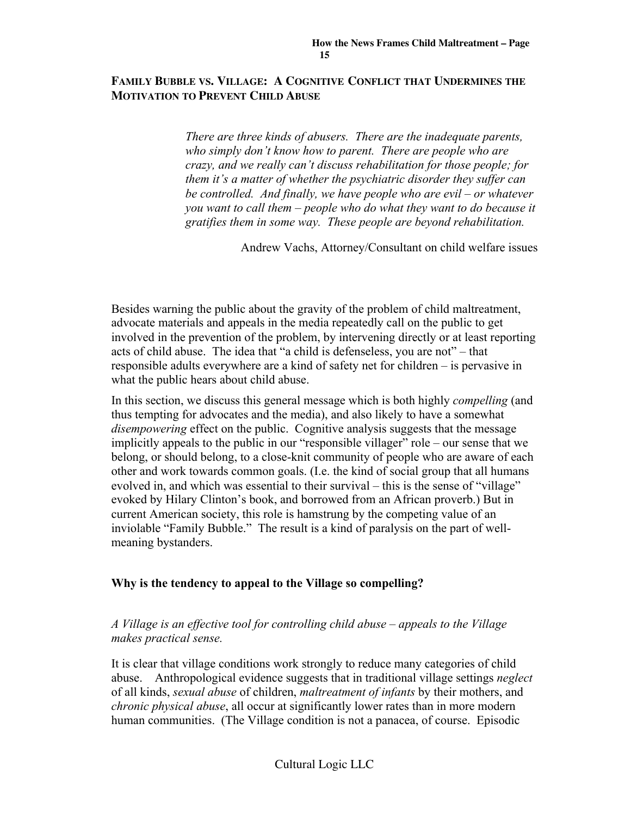#### **FAMILY BUBBLE VS. VILLAGE: A COGNITIVE CONFLICT THAT UNDERMINES THE MOTIVATION TO PREVENT CHILD ABUSE**

*There are three kinds of abusers. There are the inadequate parents, who simply don't know how to parent. There are people who are crazy, and we really can't discuss rehabilitation for those people; for them it's a matter of whether the psychiatric disorder they suffer can be controlled. And finally, we have people who are evil – or whatever you want to call them – people who do what they want to do because it gratifies them in some way. These people are beyond rehabilitation.*

Andrew Vachs, Attorney/Consultant on child welfare issues

Besides warning the public about the gravity of the problem of child maltreatment, advocate materials and appeals in the media repeatedly call on the public to get involved in the prevention of the problem, by intervening directly or at least reporting acts of child abuse. The idea that "a child is defenseless, you are not" – that responsible adults everywhere are a kind of safety net for children – is pervasive in what the public hears about child abuse.

In this section, we discuss this general message which is both highly *compelling* (and thus tempting for advocates and the media), and also likely to have a somewhat *disempowering* effect on the public. Cognitive analysis suggests that the message implicitly appeals to the public in our "responsible villager" role – our sense that we belong, or should belong, to a close-knit community of people who are aware of each other and work towards common goals. (I.e. the kind of social group that all humans evolved in, and which was essential to their survival – this is the sense of "village" evoked by Hilary Clinton's book, and borrowed from an African proverb.) But in current American society, this role is hamstrung by the competing value of an inviolable "Family Bubble." The result is a kind of paralysis on the part of wellmeaning bystanders.

#### Why is the tendency to appeal to the Village so compelling?

#### *A Village is an effective tool for controlling child abuse – appeals to the Village makes practical sense.*

It is clear that village conditions work strongly to reduce many categories of child abuse. Anthropological evidence suggests that in traditional village settings *neglect* of all kinds, *sexual abuse* of children, *maltreatment of infants* by their mothers, and *chronic physical abuse*, all occur at significantly lower rates than in more modern human communities. (The Village condition is not a panacea, of course. Episodic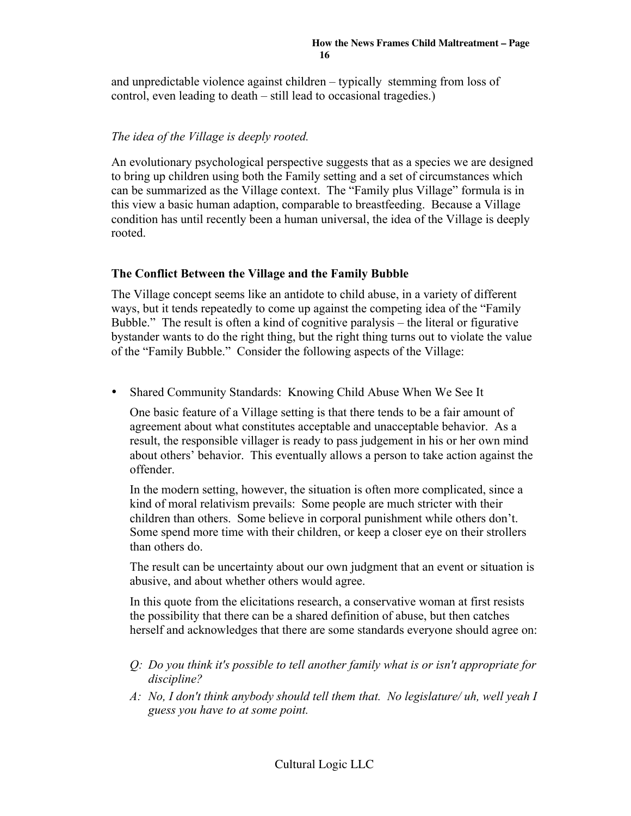and unpredictable violence against children – typically stemming from loss of control, even leading to death – still lead to occasional tragedies.)

#### *The idea of the Village is deeply rooted.*

An evolutionary psychological perspective suggests that as a species we are designed to bring up children using both the Family setting and a set of circumstances which can be summarized as the Village context. The "Family plus Village" formula is in this view a basic human adaption, comparable to breastfeeding. Because a Village condition has until recently been a human universal, the idea of the Village is deeply rooted.

#### The Conflict Between the Village and the Family Bubble

The Village concept seems like an antidote to child abuse, in a variety of different ways, but it tends repeatedly to come up against the competing idea of the "Family Bubble." The result is often a kind of cognitive paralysis – the literal or figurative bystander wants to do the right thing, but the right thing turns out to violate the value of the "Family Bubble." Consider the following aspects of the Village:

• Shared Community Standards: Knowing Child Abuse When We See It

One basic feature of a Village setting is that there tends to be a fair amount of agreement about what constitutes acceptable and unacceptable behavior. As a result, the responsible villager is ready to pass judgement in his or her own mind about others' behavior. This eventually allows a person to take action against the offender.

In the modern setting, however, the situation is often more complicated, since a kind of moral relativism prevails: Some people are much stricter with their children than others. Some believe in corporal punishment while others don't. Some spend more time with their children, or keep a closer eye on their strollers than others do.

The result can be uncertainty about our own judgment that an event or situation is abusive, and about whether others would agree.

In this quote from the elicitations research, a conservative woman at first resists the possibility that there can be a shared definition of abuse, but then catches herself and acknowledges that there are some standards everyone should agree on:

- *Q: Do you think it's possible to tell another family what is or isn't appropriate for discipline?*
- *A: No, I don't think anybody should tell them that. No legislature/ uh, well yeah I guess you have to at some point.*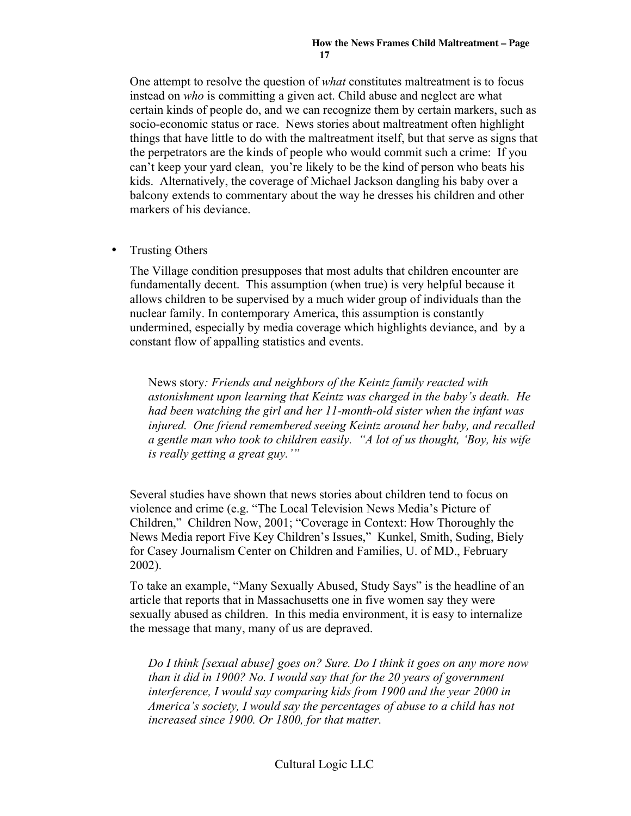One attempt to resolve the question of *what* constitutes maltreatment is to focus instead on *who* is committing a given act. Child abuse and neglect are what certain kinds of people do, and we can recognize them by certain markers, such as socio-economic status or race. News stories about maltreatment often highlight things that have little to do with the maltreatment itself, but that serve as signs that the perpetrators are the kinds of people who would commit such a crime: If you can't keep your yard clean, you're likely to be the kind of person who beats his kids. Alternatively, the coverage of Michael Jackson dangling his baby over a balcony extends to commentary about the way he dresses his children and other markers of his deviance.

• Trusting Others

The Village condition presupposes that most adults that children encounter are fundamentally decent. This assumption (when true) is very helpful because it allows children to be supervised by a much wider group of individuals than the nuclear family. In contemporary America, this assumption is constantly undermined, especially by media coverage which highlights deviance, and by a constant flow of appalling statistics and events.

News story*: Friends and neighbors of the Keintz family reacted with astonishment upon learning that Keintz was charged in the baby's death. He had been watching the girl and her 11-month-old sister when the infant was injured. One friend remembered seeing Keintz around her baby, and recalled a gentle man who took to children easily. "A lot of us thought, 'Boy, his wife is really getting a great guy.'"*

Several studies have shown that news stories about children tend to focus on violence and crime (e.g. "The Local Television News Media's Picture of Children," Children Now, 2001; "Coverage in Context: How Thoroughly the News Media report Five Key Children's Issues," Kunkel, Smith, Suding, Biely for Casey Journalism Center on Children and Families, U. of MD., February 2002).

To take an example, "Many Sexually Abused, Study Says" is the headline of an article that reports that in Massachusetts one in five women say they were sexually abused as children. In this media environment, it is easy to internalize the message that many, many of us are depraved.

*Do I think [sexual abuse] goes on? Sure. Do I think it goes on any more now than it did in 1900? No. I would say that for the 20 years of government interference, I would say comparing kids from 1900 and the year 2000 in America's society, I would say the percentages of abuse to a child has not increased since 1900. Or 1800, for that matter.*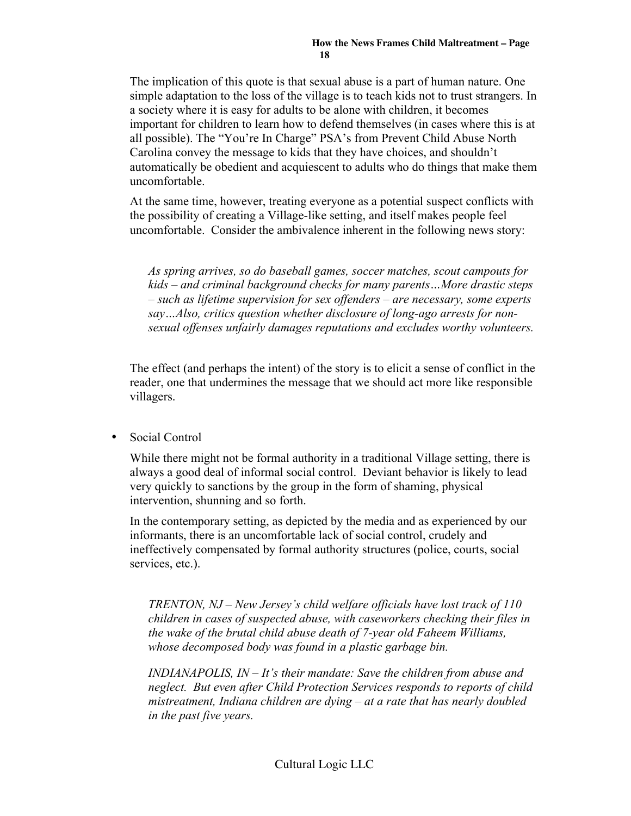The implication of this quote is that sexual abuse is a part of human nature. One simple adaptation to the loss of the village is to teach kids not to trust strangers. In a society where it is easy for adults to be alone with children, it becomes important for children to learn how to defend themselves (in cases where this is at all possible). The "You're In Charge" PSA's from Prevent Child Abuse North Carolina convey the message to kids that they have choices, and shouldn't automatically be obedient and acquiescent to adults who do things that make them uncomfortable.

At the same time, however, treating everyone as a potential suspect conflicts with the possibility of creating a Village-like setting, and itself makes people feel uncomfortable. Consider the ambivalence inherent in the following news story:

*As spring arrives, so do baseball games, soccer matches, scout campouts for kids – and criminal background checks for many parents…More drastic steps – such as lifetime supervision for sex offenders – are necessary, some experts say…Also, critics question whether disclosure of long-ago arrests for nonsexual offenses unfairly damages reputations and excludes worthy volunteers.*

The effect (and perhaps the intent) of the story is to elicit a sense of conflict in the reader, one that undermines the message that we should act more like responsible villagers.

• Social Control

While there might not be formal authority in a traditional Village setting, there is always a good deal of informal social control. Deviant behavior is likely to lead very quickly to sanctions by the group in the form of shaming, physical intervention, shunning and so forth.

In the contemporary setting, as depicted by the media and as experienced by our informants, there is an uncomfortable lack of social control, crudely and ineffectively compensated by formal authority structures (police, courts, social services, etc.).

*TRENTON, NJ – New Jersey's child welfare officials have lost track of 110 children in cases of suspected abuse, with caseworkers checking their files in the wake of the brutal child abuse death of 7-year old Faheem Williams, whose decomposed body was found in a plastic garbage bin.*

*INDIANAPOLIS, IN – It's their mandate: Save the children from abuse and neglect. But even after Child Protection Services responds to reports of child mistreatment, Indiana children are dying – at a rate that has nearly doubled in the past five years.*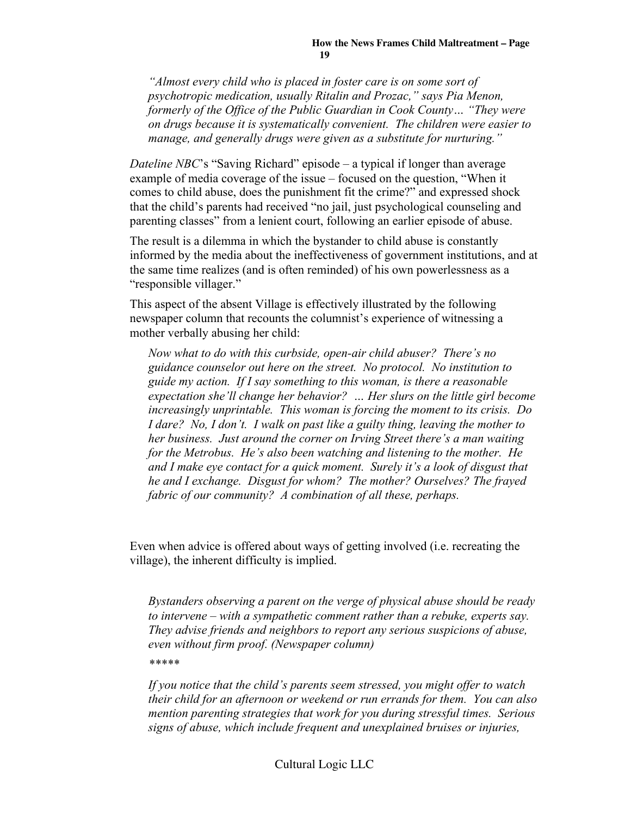*"Almost every child who is placed in foster care is on some sort of psychotropic medication, usually Ritalin and Prozac," says Pia Menon, formerly of the Office of the Public Guardian in Cook County… "They were on drugs because it is systematically convenient. The children were easier to manage, and generally drugs were given as a substitute for nurturing."*

*Dateline NBC*'s "Saving Richard" episode – a typical if longer than average example of media coverage of the issue – focused on the question, "When it comes to child abuse, does the punishment fit the crime?" and expressed shock that the child's parents had received "no jail, just psychological counseling and parenting classes" from a lenient court, following an earlier episode of abuse.

The result is a dilemma in which the bystander to child abuse is constantly informed by the media about the ineffectiveness of government institutions, and at the same time realizes (and is often reminded) of his own powerlessness as a "responsible villager."

This aspect of the absent Village is effectively illustrated by the following newspaper column that recounts the columnist's experience of witnessing a mother verbally abusing her child:

*Now what to do with this curbside, open-air child abuser? There's no guidance counselor out here on the street. No protocol. No institution to guide my action. If I say something to this woman, is there a reasonable expectation she'll change her behavior? … Her slurs on the little girl become increasingly unprintable. This woman is forcing the moment to its crisis. Do I dare? No, I don't. I walk on past like a guilty thing, leaving the mother to her business. Just around the corner on Irving Street there's a man waiting for the Metrobus. He's also been watching and listening to the mother. He and I make eye contact for a quick moment. Surely it's a look of disgust that he and I exchange. Disgust for whom? The mother? Ourselves? The frayed fabric of our community? A combination of all these, perhaps.*

Even when advice is offered about ways of getting involved (i.e. recreating the village), the inherent difficulty is implied.

*Bystanders observing a parent on the verge of physical abuse should be ready to intervene – with a sympathetic comment rather than a rebuke, experts say. They advise friends and neighbors to report any serious suspicions of abuse, even without firm proof. (Newspaper column)*

*\*\*\*\*\**

*If you notice that the child's parents seem stressed, you might offer to watch their child for an afternoon or weekend or run errands for them. You can also mention parenting strategies that work for you during stressful times. Serious signs of abuse, which include frequent and unexplained bruises or injuries,*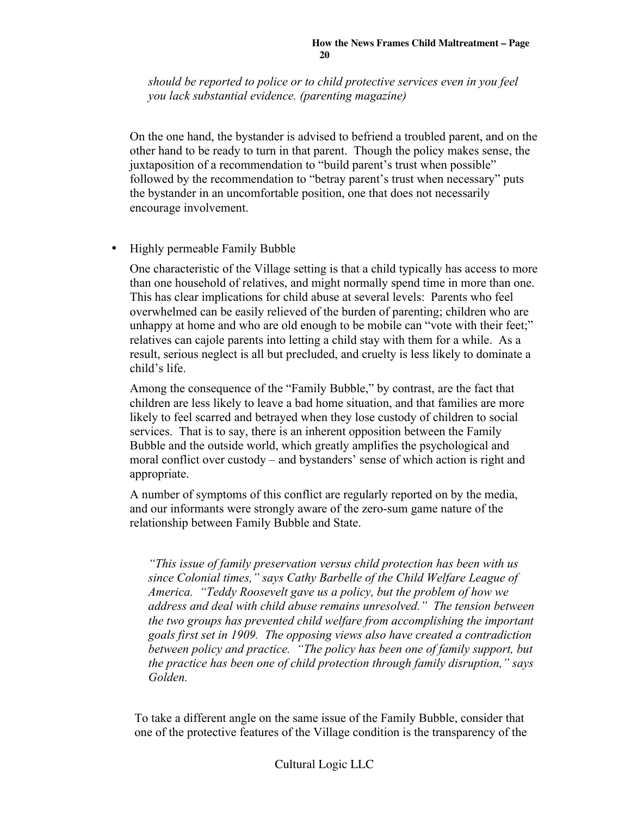*should be reported to police or to child protective services even in you feel you lack substantial evidence. (parenting magazine)*

On the one hand, the bystander is advised to befriend a troubled parent, and on the other hand to be ready to turn in that parent. Though the policy makes sense, the juxtaposition of a recommendation to "build parent's trust when possible" followed by the recommendation to "betray parent's trust when necessary" puts the bystander in an uncomfortable position, one that does not necessarily encourage involvement.

• Highly permeable Family Bubble

One characteristic of the Village setting is that a child typically has access to more than one household of relatives, and might normally spend time in more than one. This has clear implications for child abuse at several levels: Parents who feel overwhelmed can be easily relieved of the burden of parenting; children who are unhappy at home and who are old enough to be mobile can "vote with their feet;" relatives can cajole parents into letting a child stay with them for a while. As a result, serious neglect is all but precluded, and cruelty is less likely to dominate a child's life.

Among the consequence of the "Family Bubble," by contrast, are the fact that children are less likely to leave a bad home situation, and that families are more likely to feel scarred and betrayed when they lose custody of children to social services. That is to say, there is an inherent opposition between the Family Bubble and the outside world, which greatly amplifies the psychological and moral conflict over custody – and bystanders' sense of which action is right and appropriate.

A number of symptoms of this conflict are regularly reported on by the media, and our informants were strongly aware of the zero-sum game nature of the relationship between Family Bubble and State.

*"This issue of family preservation versus child protection has been with us since Colonial times," says Cathy Barbelle of the Child Welfare League of America. "Teddy Roosevelt gave us a policy, but the problem of how we address and deal with child abuse remains unresolved." The tension between the two groups has prevented child welfare from accomplishing the important goals first set in 1909. The opposing views also have created a contradiction between policy and practice. "The policy has been one of family support, but the practice has been one of child protection through family disruption," says Golden.*

To take a different angle on the same issue of the Family Bubble, consider that one of the protective features of the Village condition is the transparency of the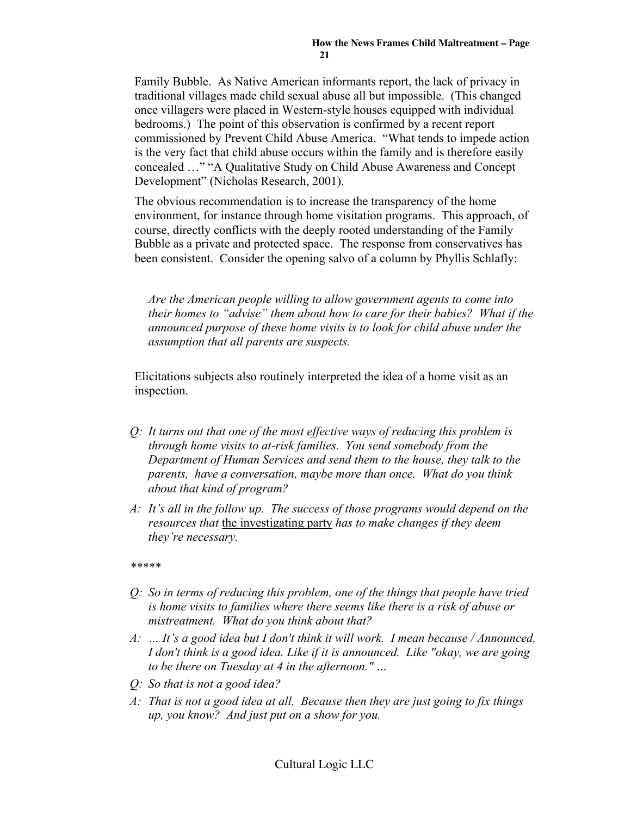Family Bubble. As Native American informants report, the lack of privacy in traditional villages made child sexual abuse all but impossible. (This changed once villagers were placed in Western-style houses equipped with individual bedrooms.) The point of this observation is confirmed by a recent report commissioned by Prevent Child Abuse America. "What tends to impede action is the very fact that child abuse occurs within the family and is therefore easily concealed …" "A Qualitative Study on Child Abuse Awareness and Concept Development" (Nicholas Research, 2001).

The obvious recommendation is to increase the transparency of the home environment, for instance through home visitation programs. This approach, of course, directly conflicts with the deeply rooted understanding of the Family Bubble as a private and protected space. The response from conservatives has been consistent. Consider the opening salvo of a column by Phyllis Schlafly:

*Are the American people willing to allow government agents to come into their homes to "advise" them about how to care for their babies? What if the announced purpose of these home visits is to look for child abuse under the assumption that all parents are suspects.*

Elicitations subjects also routinely interpreted the idea of a home visit as an inspection.

- *Q: It turns out that one of the most effective ways of reducing this problem is through home visits to at-risk families. You send somebody from the Department of Human Services and send them to the house, they talk to the parents, have a conversation, maybe more than once. What do you think about that kind of program?*
- *A: It's all in the follow up. The success of those programs would depend on the resources that* the investigating party *has to make changes if they deem they're necessary.*

*\*\*\*\*\**

- *Q: So in terms of reducing this problem, one of the things that people have tried is home visits to families where there seems like there is a risk of abuse or mistreatment. What do you think about that?*
- *A: … It's a good idea but I don't think it will work. I mean because / Announced, I don't think is a good idea. Like if it is announced. Like "okay, we are going to be there on Tuesday at 4 in the afternoon." …*
- *Q: So that is not a good idea?*
- *A: That is not a good idea at all. Because then they are just going to fix things up, you know? And just put on a show for you.*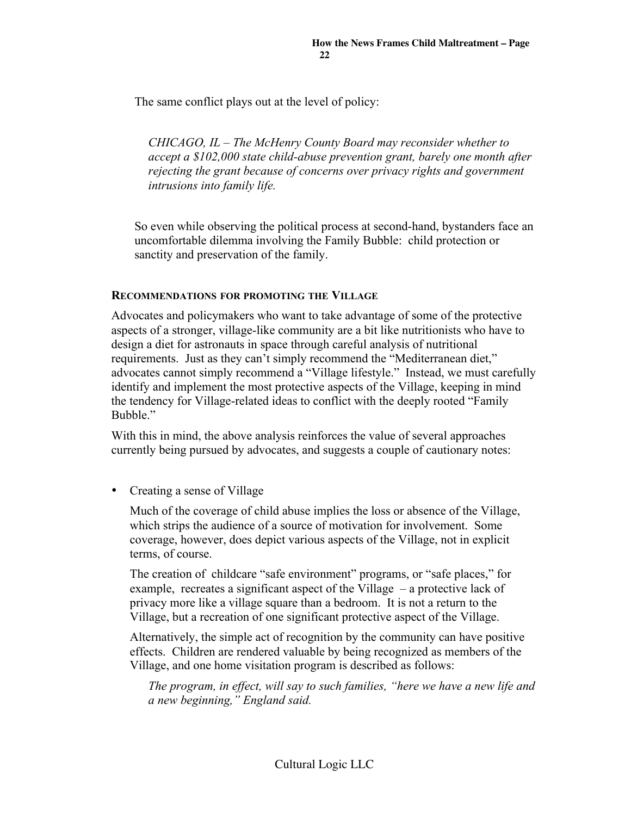The same conflict plays out at the level of policy:

*CHICAGO, IL – The McHenry County Board may reconsider whether to accept a \$102,000 state child-abuse prevention grant, barely one month after rejecting the grant because of concerns over privacy rights and government intrusions into family life.*

So even while observing the political process at second-hand, bystanders face an uncomfortable dilemma involving the Family Bubble: child protection or sanctity and preservation of the family.

#### RECOMMENDATIONS FOR PROMOTING THE VILLAGE

Advocates and policymakers who want to take advantage of some of the protective aspects of a stronger, village-like community are a bit like nutritionists who have to design a diet for astronauts in space through careful analysis of nutritional requirements. Just as they can't simply recommend the "Mediterranean diet," advocates cannot simply recommend a "Village lifestyle." Instead, we must carefully identify and implement the most protective aspects of the Village, keeping in mind the tendency for Village-related ideas to conflict with the deeply rooted "Family Bubble<sup>"</sup>

With this in mind, the above analysis reinforces the value of several approaches currently being pursued by advocates, and suggests a couple of cautionary notes:

• Creating a sense of Village

Much of the coverage of child abuse implies the loss or absence of the Village, which strips the audience of a source of motivation for involvement. Some coverage, however, does depict various aspects of the Village, not in explicit terms, of course.

The creation of childcare "safe environment" programs, or "safe places," for example, recreates a significant aspect of the Village – a protective lack of privacy more like a village square than a bedroom. It is not a return to the Village, but a recreation of one significant protective aspect of the Village.

Alternatively, the simple act of recognition by the community can have positive effects. Children are rendered valuable by being recognized as members of the Village, and one home visitation program is described as follows:

*The program, in effect, will say to such families, "here we have a new life and a new beginning," England said.*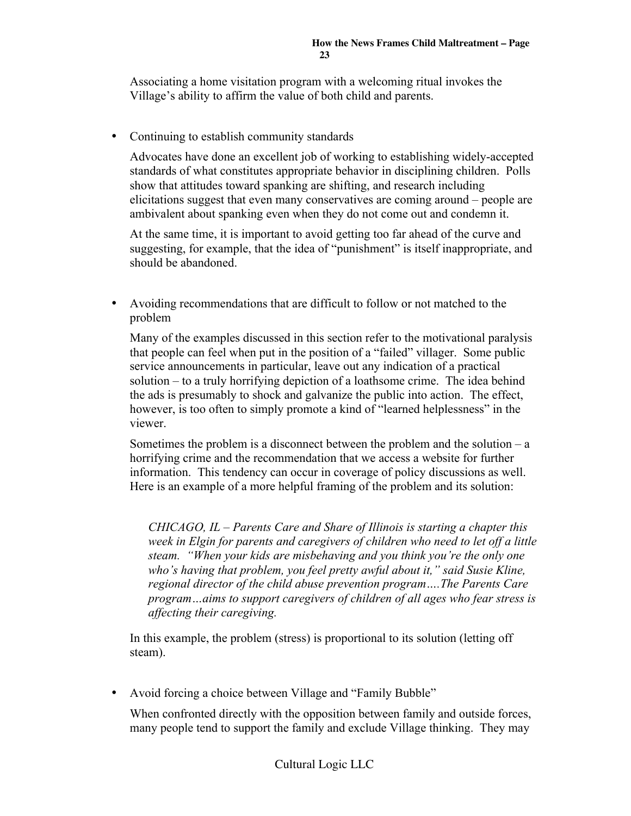Associating a home visitation program with a welcoming ritual invokes the Village's ability to affirm the value of both child and parents.

• Continuing to establish community standards

Advocates have done an excellent job of working to establishing widely-accepted standards of what constitutes appropriate behavior in disciplining children. Polls show that attitudes toward spanking are shifting, and research including elicitations suggest that even many conservatives are coming around – people are ambivalent about spanking even when they do not come out and condemn it.

At the same time, it is important to avoid getting too far ahead of the curve and suggesting, for example, that the idea of "punishment" is itself inappropriate, and should be abandoned.

• Avoiding recommendations that are difficult to follow or not matched to the problem

Many of the examples discussed in this section refer to the motivational paralysis that people can feel when put in the position of a "failed" villager. Some public service announcements in particular, leave out any indication of a practical solution – to a truly horrifying depiction of a loathsome crime. The idea behind the ads is presumably to shock and galvanize the public into action. The effect, however, is too often to simply promote a kind of "learned helplessness" in the viewer.

Sometimes the problem is a disconnect between the problem and the solution  $-a$ horrifying crime and the recommendation that we access a website for further information. This tendency can occur in coverage of policy discussions as well. Here is an example of a more helpful framing of the problem and its solution:

*CHICAGO, IL – Parents Care and Share of Illinois is starting a chapter this week in Elgin for parents and caregivers of children who need to let off a little steam. "When your kids are misbehaving and you think you're the only one who's having that problem, you feel pretty awful about it," said Susie Kline, regional director of the child abuse prevention program….The Parents Care program…aims to support caregivers of children of all ages who fear stress is affecting their caregiving.*

In this example, the problem (stress) is proportional to its solution (letting off steam).

• Avoid forcing a choice between Village and "Family Bubble"

When confronted directly with the opposition between family and outside forces, many people tend to support the family and exclude Village thinking. They may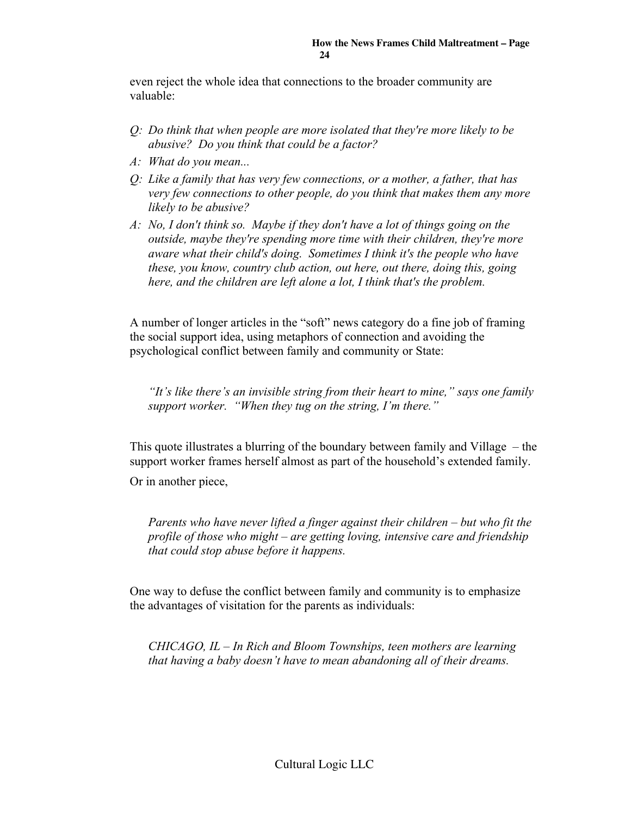even reject the whole idea that connections to the broader community are valuable:

- *Q: Do think that when people are more isolated that they're more likely to be abusive? Do you think that could be a factor?*
- *A: What do you mean...*
- *Q: Like a family that has very few connections, or a mother, a father, that has very few connections to other people, do you think that makes them any more likely to be abusive?*
- *A: No, I don't think so. Maybe if they don't have a lot of things going on the outside, maybe they're spending more time with their children, they're more aware what their child's doing. Sometimes I think it's the people who have these, you know, country club action, out here, out there, doing this, going here, and the children are left alone a lot, I think that's the problem.*

A number of longer articles in the "soft" news category do a fine job of framing the social support idea, using metaphors of connection and avoiding the psychological conflict between family and community or State:

*"It's like there's an invisible string from their heart to mine," says one family support worker. "When they tug on the string, I'm there."*

This quote illustrates a blurring of the boundary between family and Village – the support worker frames herself almost as part of the household's extended family.

Or in another piece,

*Parents who have never lifted a finger against their children – but who fit the profile of those who might – are getting loving, intensive care and friendship that could stop abuse before it happens.*

One way to defuse the conflict between family and community is to emphasize the advantages of visitation for the parents as individuals:

*CHICAGO, IL – In Rich and Bloom Townships, teen mothers are learning that having a baby doesn't have to mean abandoning all of their dreams.*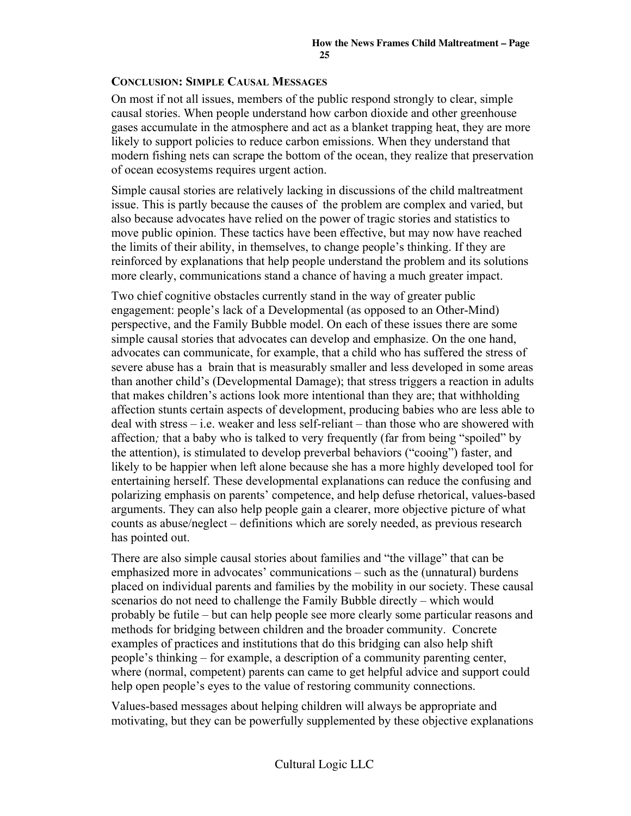#### CONCLUSION: SIMPLE CAUSAL MESSAGES

On most if not all issues, members of the public respond strongly to clear, simple causal stories. When people understand how carbon dioxide and other greenhouse gases accumulate in the atmosphere and act as a blanket trapping heat, they are more likely to support policies to reduce carbon emissions. When they understand that modern fishing nets can scrape the bottom of the ocean, they realize that preservation of ocean ecosystems requires urgent action.

Simple causal stories are relatively lacking in discussions of the child maltreatment issue. This is partly because the causes of the problem are complex and varied, but also because advocates have relied on the power of tragic stories and statistics to move public opinion. These tactics have been effective, but may now have reached the limits of their ability, in themselves, to change people's thinking. If they are reinforced by explanations that help people understand the problem and its solutions more clearly, communications stand a chance of having a much greater impact.

Two chief cognitive obstacles currently stand in the way of greater public engagement: people's lack of a Developmental (as opposed to an Other-Mind) perspective, and the Family Bubble model. On each of these issues there are some simple causal stories that advocates can develop and emphasize. On the one hand, advocates can communicate, for example, that a child who has suffered the stress of severe abuse has a brain that is measurably smaller and less developed in some areas than another child's (Developmental Damage); that stress triggers a reaction in adults that makes children's actions look more intentional than they are; that withholding affection stunts certain aspects of development, producing babies who are less able to deal with stress – i.e. weaker and less self-reliant – than those who are showered with affection*;* that a baby who is talked to very frequently (far from being "spoiled" by the attention), is stimulated to develop preverbal behaviors ("cooing") faster, and likely to be happier when left alone because she has a more highly developed tool for entertaining herself. These developmental explanations can reduce the confusing and polarizing emphasis on parents' competence, and help defuse rhetorical, values-based arguments. They can also help people gain a clearer, more objective picture of what counts as abuse/neglect – definitions which are sorely needed, as previous research has pointed out.

There are also simple causal stories about families and "the village" that can be emphasized more in advocates' communications – such as the (unnatural) burdens placed on individual parents and families by the mobility in our society. These causal scenarios do not need to challenge the Family Bubble directly – which would probably be futile – but can help people see more clearly some particular reasons and methods for bridging between children and the broader community. Concrete examples of practices and institutions that do this bridging can also help shift people's thinking – for example, a description of a community parenting center, where (normal, competent) parents can came to get helpful advice and support could help open people's eyes to the value of restoring community connections.

Values-based messages about helping children will always be appropriate and motivating, but they can be powerfully supplemented by these objective explanations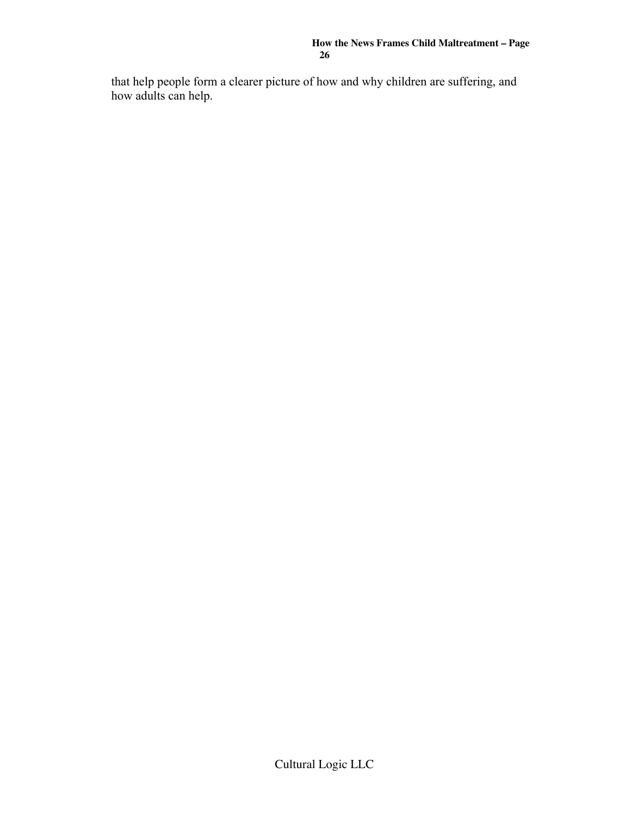that help people form a clearer picture of how and why children are suffering, and how adults can help.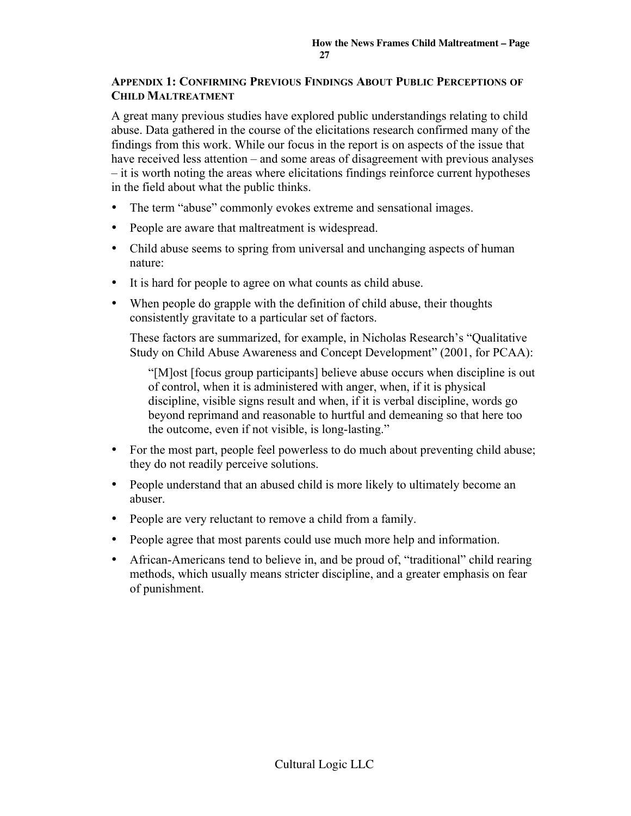#### APPENDIX 1: CONFIRMING PREVIOUS FINDINGS ABOUT PUBLIC PERCEPTIONS OF CHILD MALTREATMENT

A great many previous studies have explored public understandings relating to child abuse. Data gathered in the course of the elicitations research confirmed many of the findings from this work. While our focus in the report is on aspects of the issue that have received less attention – and some areas of disagreement with previous analyses – it is worth noting the areas where elicitations findings reinforce current hypotheses in the field about what the public thinks.

- The term "abuse" commonly evokes extreme and sensational images.
- People are aware that maltreatment is widespread.
- Child abuse seems to spring from universal and unchanging aspects of human nature:
- It is hard for people to agree on what counts as child abuse.
- When people do grapple with the definition of child abuse, their thoughts consistently gravitate to a particular set of factors.

These factors are summarized, for example, in Nicholas Research's "Qualitative Study on Child Abuse Awareness and Concept Development" (2001, for PCAA):

"[M]ost [focus group participants] believe abuse occurs when discipline is out of control, when it is administered with anger, when, if it is physical discipline, visible signs result and when, if it is verbal discipline, words go beyond reprimand and reasonable to hurtful and demeaning so that here too the outcome, even if not visible, is long-lasting."

- For the most part, people feel powerless to do much about preventing child abuse; they do not readily perceive solutions.
- People understand that an abused child is more likely to ultimately become an abuser.
- People are very reluctant to remove a child from a family.
- People agree that most parents could use much more help and information.
- African-Americans tend to believe in, and be proud of, "traditional" child rearing methods, which usually means stricter discipline, and a greater emphasis on fear of punishment.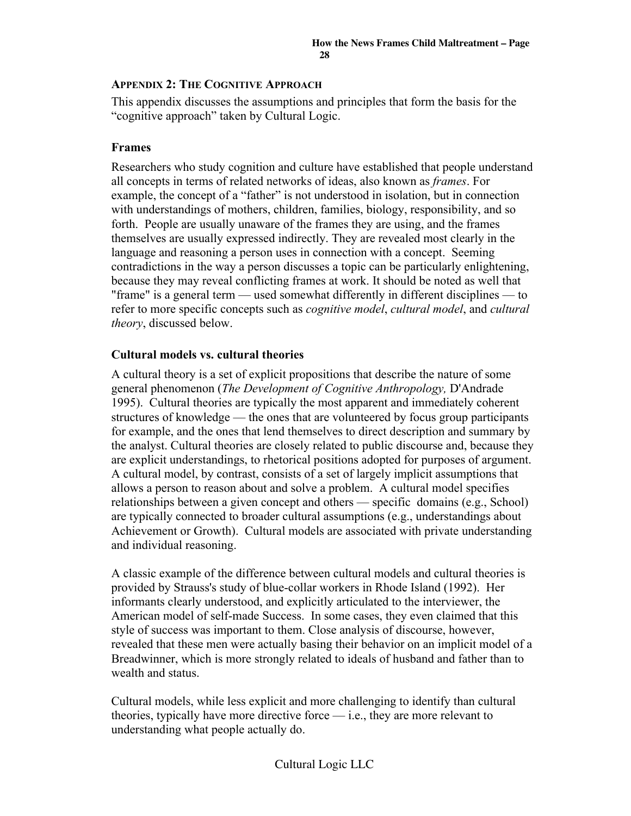#### APPENDIX 2: THE COGNITIVE APPROACH

This appendix discusses the assumptions and principles that form the basis for the "cognitive approach" taken by Cultural Logic.

#### Frames

Researchers who study cognition and culture have established that people understand all concepts in terms of related networks of ideas, also known as *frames*. For example, the concept of a "father" is not understood in isolation, but in connection with understandings of mothers, children, families, biology, responsibility, and so forth. People are usually unaware of the frames they are using, and the frames themselves are usually expressed indirectly. They are revealed most clearly in the language and reasoning a person uses in connection with a concept. Seeming contradictions in the way a person discusses a topic can be particularly enlightening, because they may reveal conflicting frames at work. It should be noted as well that "frame" is a general term — used somewhat differently in different disciplines — to refer to more specific concepts such as *cognitive model*, *cultural model*, and *cultural theory*, discussed below.

#### Cultural models vs. cultural theories

A cultural theory is a set of explicit propositions that describe the nature of some general phenomenon (*The Development of Cognitive Anthropology,* D'Andrade 1995). Cultural theories are typically the most apparent and immediately coherent structures of knowledge — the ones that are volunteered by focus group participants for example, and the ones that lend themselves to direct description and summary by the analyst. Cultural theories are closely related to public discourse and, because they are explicit understandings, to rhetorical positions adopted for purposes of argument. A cultural model, by contrast, consists of a set of largely implicit assumptions that allows a person to reason about and solve a problem. A cultural model specifies relationships between a given concept and others — specific domains (e.g., School) are typically connected to broader cultural assumptions (e.g., understandings about Achievement or Growth). Cultural models are associated with private understanding and individual reasoning.

A classic example of the difference between cultural models and cultural theories is provided by Strauss's study of blue-collar workers in Rhode Island (1992). Her informants clearly understood, and explicitly articulated to the interviewer, the American model of self-made Success. In some cases, they even claimed that this style of success was important to them. Close analysis of discourse, however, revealed that these men were actually basing their behavior on an implicit model of a Breadwinner, which is more strongly related to ideals of husband and father than to wealth and status.

Cultural models, while less explicit and more challenging to identify than cultural theories, typically have more directive force — i.e., they are more relevant to understanding what people actually do.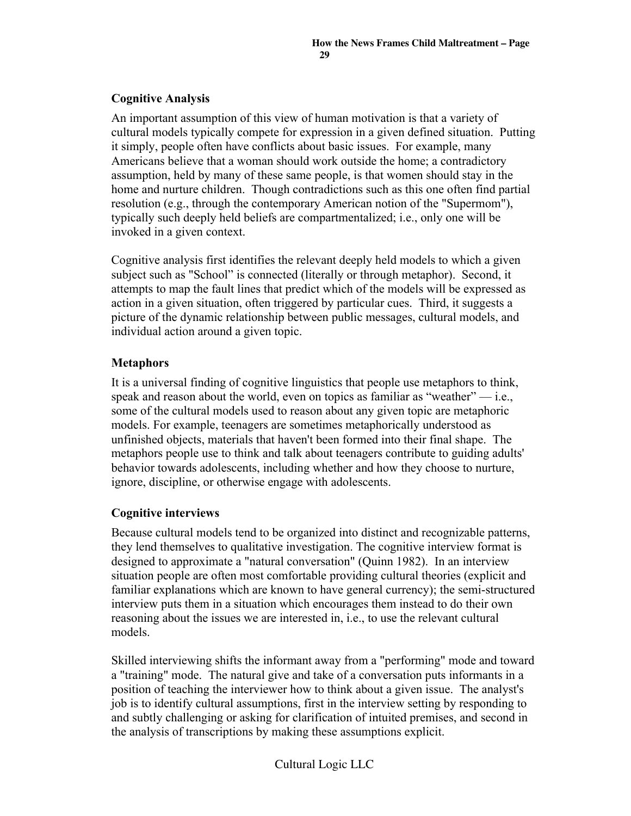## Cognitive Analysis

An important assumption of this view of human motivation is that a variety of cultural models typically compete for expression in a given defined situation. Putting it simply, people often have conflicts about basic issues. For example, many Americans believe that a woman should work outside the home; a contradictory assumption, held by many of these same people, is that women should stay in the home and nurture children. Though contradictions such as this one often find partial resolution (e.g., through the contemporary American notion of the "Supermom"), typically such deeply held beliefs are compartmentalized; i.e., only one will be invoked in a given context.

Cognitive analysis first identifies the relevant deeply held models to which a given subject such as "School" is connected (literally or through metaphor). Second, it attempts to map the fault lines that predict which of the models will be expressed as action in a given situation, often triggered by particular cues. Third, it suggests a picture of the dynamic relationship between public messages, cultural models, and individual action around a given topic.

## **Metaphors**

It is a universal finding of cognitive linguistics that people use metaphors to think, speak and reason about the world, even on topics as familiar as "weather"  $-$  i.e., some of the cultural models used to reason about any given topic are metaphoric models. For example, teenagers are sometimes metaphorically understood as unfinished objects, materials that haven't been formed into their final shape. The metaphors people use to think and talk about teenagers contribute to guiding adults' behavior towards adolescents, including whether and how they choose to nurture, ignore, discipline, or otherwise engage with adolescents.

## Cognitive interviews

Because cultural models tend to be organized into distinct and recognizable patterns, they lend themselves to qualitative investigation. The cognitive interview format is designed to approximate a "natural conversation" (Quinn 1982). In an interview situation people are often most comfortable providing cultural theories (explicit and familiar explanations which are known to have general currency); the semi-structured interview puts them in a situation which encourages them instead to do their own reasoning about the issues we are interested in, i.e., to use the relevant cultural models.

Skilled interviewing shifts the informant away from a "performing" mode and toward a "training" mode. The natural give and take of a conversation puts informants in a position of teaching the interviewer how to think about a given issue. The analyst's job is to identify cultural assumptions, first in the interview setting by responding to and subtly challenging or asking for clarification of intuited premises, and second in the analysis of transcriptions by making these assumptions explicit.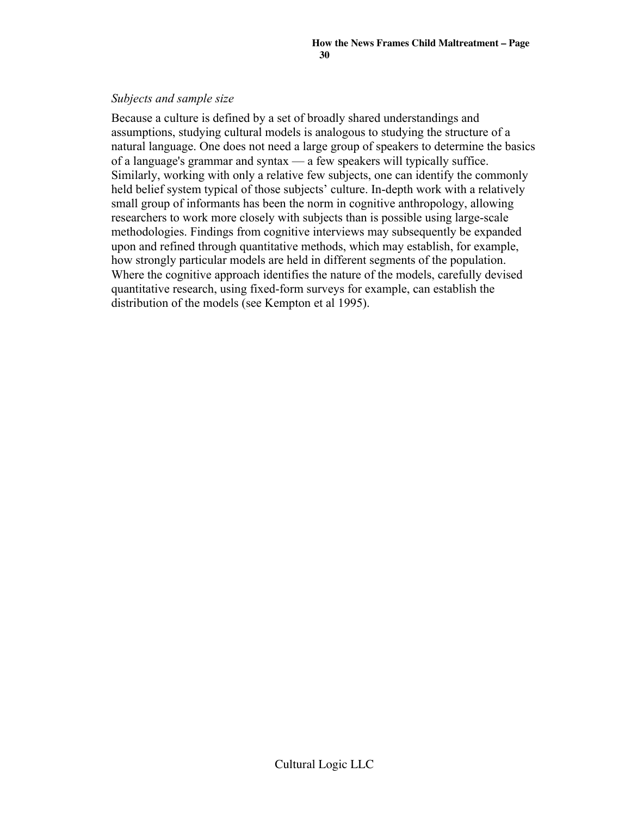#### *Subjects and sample size*

Because a culture is defined by a set of broadly shared understandings and assumptions, studying cultural models is analogous to studying the structure of a natural language. One does not need a large group of speakers to determine the basics of a language's grammar and syntax — a few speakers will typically suffice. Similarly, working with only a relative few subjects, one can identify the commonly held belief system typical of those subjects' culture. In-depth work with a relatively small group of informants has been the norm in cognitive anthropology, allowing researchers to work more closely with subjects than is possible using large-scale methodologies. Findings from cognitive interviews may subsequently be expanded upon and refined through quantitative methods, which may establish, for example, how strongly particular models are held in different segments of the population. Where the cognitive approach identifies the nature of the models, carefully devised quantitative research, using fixed-form surveys for example, can establish the distribution of the models (see Kempton et al 1995).